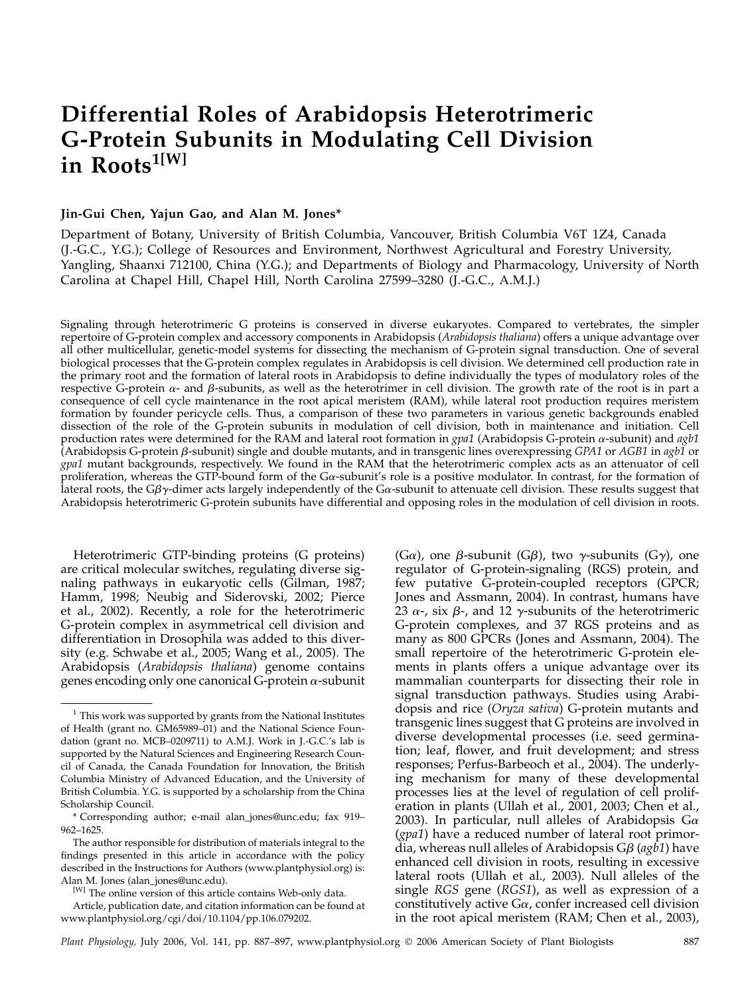# Differential Roles of Arabidopsis Heterotrimeric G-Protein Subunits in Modulating Cell Division in Roots<sup>1[W]</sup>

## Jin-Gui Chen, Yajun Gao, and Alan M. Jones\*

Department of Botany, University of British Columbia, Vancouver, British Columbia V6T 1Z4, Canada (J.-G.C., Y.G.); College of Resources and Environment, Northwest Agricultural and Forestry University, Yangling, Shaanxi 712100, China (Y.G.); and Departments of Biology and Pharmacology, University of North Carolina at Chapel Hill, Chapel Hill, North Carolina 27599–3280 (J.-G.C., A.M.J.)

Signaling through heterotrimeric G proteins is conserved in diverse eukaryotes. Compared to vertebrates, the simpler repertoire of G-protein complex and accessory components in Arabidopsis (Arabidopsis thaliana) offers a unique advantage over all other multicellular, genetic-model systems for dissecting the mechanism of G-protein signal transduction. One of several biological processes that the G-protein complex regulates in Arabidopsis is cell division. We determined cell production rate in the primary root and the formation of lateral roots in Arabidopsis to define individually the types of modulatory roles of the respective G-protein  $\alpha$ - and  $\beta$ -subunits, as well as the heterotrimer in cell division. The growth rate of the root is in part a consequence of cell cycle maintenance in the root apical meristem (RAM), while lateral root production requires meristem formation by founder pericycle cells. Thus, a comparison of these two parameters in various genetic backgrounds enabled dissection of the role of the G-protein subunits in modulation of cell division, both in maintenance and initiation. Cell production rates were determined for the RAM and lateral root formation in  $gpa1$  (Arabidopsis G-protein  $\alpha$ -subunit) and  $agb1$ (Arabidopsis G-protein  $\beta$ -subunit) single and double mutants, and in transgenic lines overexpressing GPA1 or AGB1 in agb1 or gpa1 mutant backgrounds, respectively. We found in the RAM that the heterotrimeric complex acts as an attenuator of cell proliferation, whereas the GTP-bound form of the  $Ga$ -subunit's role is a positive modulator. In contrast, for the formation of lateral roots, the G $\beta\gamma$ -dimer acts largely independently of the G $\alpha$ -subunit to attenuate cell division. These results suggest that Arabidopsis heterotrimeric G-protein subunits have differential and opposing roles in the modulation of cell division in roots.

Heterotrimeric GTP-binding proteins (G proteins) are critical molecular switches, regulating diverse signaling pathways in eukaryotic cells (Gilman, 1987; Hamm, 1998; Neubig and Siderovski, 2002; Pierce et al., 2002). Recently, a role for the heterotrimeric G-protein complex in asymmetrical cell division and differentiation in Drosophila was added to this diversity (e.g. Schwabe et al., 2005; Wang et al., 2005). The Arabidopsis (Arabidopsis thaliana) genome contains genes encoding only one canonical G-protein  $\alpha$ -subunit

(G $\alpha$ ), one  $\beta$ -subunit (G $\beta$ ), two  $\gamma$ -subunits (G $\gamma$ ), one regulator of G-protein-signaling (RGS) protein, and few putative G-protein-coupled receptors (GPCR; Jones and Assmann, 2004). In contrast, humans have 23  $\alpha$ -, six  $\beta$ -, and 12  $\gamma$ -subunits of the heterotrimeric G-protein complexes, and 37 RGS proteins and as many as 800 GPCRs (Jones and Assmann, 2004). The small repertoire of the heterotrimeric G-protein elements in plants offers a unique advantage over its mammalian counterparts for dissecting their role in signal transduction pathways. Studies using Arabidopsis and rice (Oryza sativa) G-protein mutants and transgenic lines suggest that G proteins are involved in diverse developmental processes (i.e. seed germination; leaf, flower, and fruit development; and stress responses; Perfus-Barbeoch et al., 2004). The underlying mechanism for many of these developmental processes lies at the level of regulation of cell proliferation in plants (Ullah et al., 2001, 2003; Chen et al., 2003). In particular, null alleles of Arabidopsis G $\alpha$ (gpa1) have a reduced number of lateral root primordia, whereas null alleles of Arabidopsis  $G\beta$  (agb1) have enhanced cell division in roots, resulting in excessive lateral roots (Ullah et al., 2003). Null alleles of the single RGS gene (RGS1), as well as expression of a constitutively active  $G\alpha$ , confer increased cell division in the root apical meristem (RAM; Chen et al., 2003),

 $1$  This work was supported by grants from the National Institutes of Health (grant no. GM65989–01) and the National Science Foundation (grant no. MCB–0209711) to A.M.J. Work in J.-G.C.'s lab is supported by the Natural Sciences and Engineering Research Council of Canada, the Canada Foundation for Innovation, the British Columbia Ministry of Advanced Education, and the University of British Columbia. Y.G. is supported by a scholarship from the China Scholarship Council.

<sup>\*</sup> Corresponding author; e-mail alan\_jones@unc.edu; fax 919– 962–1625.

The author responsible for distribution of materials integral to the findings presented in this article in accordance with the policy described in the Instructions for Authors (www.plantphysiol.org) is: Alan M. Jones (alan\_jones@unc.edu).

<sup>&</sup>lt;sup>[W]</sup> The online version of this article contains Web-only data.

Article, publication date, and citation information can be found at www.plantphysiol.org/cgi/doi/10.1104/pp.106.079202.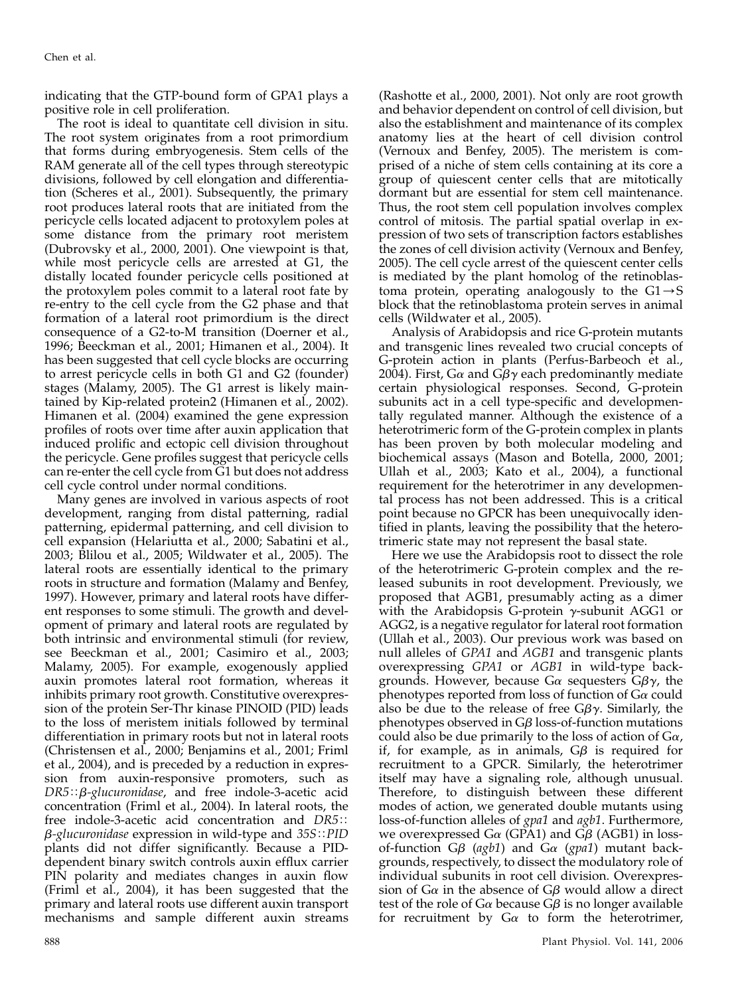indicating that the GTP-bound form of GPA1 plays a positive role in cell proliferation.

The root is ideal to quantitate cell division in situ. The root system originates from a root primordium that forms during embryogenesis. Stem cells of the RAM generate all of the cell types through stereotypic divisions, followed by cell elongation and differentiation (Scheres et al., 2001). Subsequently, the primary root produces lateral roots that are initiated from the pericycle cells located adjacent to protoxylem poles at some distance from the primary root meristem (Dubrovsky et al., 2000, 2001). One viewpoint is that, while most pericycle cells are arrested at G1, the distally located founder pericycle cells positioned at the protoxylem poles commit to a lateral root fate by re-entry to the cell cycle from the G2 phase and that formation of a lateral root primordium is the direct consequence of a G2-to-M transition (Doerner et al., 1996; Beeckman et al., 2001; Himanen et al., 2004). It has been suggested that cell cycle blocks are occurring to arrest pericycle cells in both G1 and G2 (founder) stages (Malamy, 2005). The G1 arrest is likely maintained by Kip-related protein2 (Himanen et al., 2002). Himanen et al. (2004) examined the gene expression profiles of roots over time after auxin application that induced prolific and ectopic cell division throughout the pericycle. Gene profiles suggest that pericycle cells can re-enter the cell cycle from G1 but does not address cell cycle control under normal conditions.

Many genes are involved in various aspects of root development, ranging from distal patterning, radial patterning, epidermal patterning, and cell division to cell expansion (Helariutta et al., 2000; Sabatini et al., 2003; Blilou et al., 2005; Wildwater et al., 2005). The lateral roots are essentially identical to the primary roots in structure and formation (Malamy and Benfey, 1997). However, primary and lateral roots have different responses to some stimuli. The growth and development of primary and lateral roots are regulated by both intrinsic and environmental stimuli (for review, see Beeckman et al., 2001; Casimiro et al., 2003; Malamy, 2005). For example, exogenously applied auxin promotes lateral root formation, whereas it inhibits primary root growth. Constitutive overexpression of the protein Ser-Thr kinase PINOID (PID) leads to the loss of meristem initials followed by terminal differentiation in primary roots but not in lateral roots (Christensen et al., 2000; Benjamins et al., 2001; Friml et al., 2004), and is preceded by a reduction in expression from auxin-responsive promoters, such as  $DR5::\beta$ -glucuronidase, and free indole-3-acetic acid concentration (Friml et al., 2004). In lateral roots, the free indole-3-acetic acid concentration and  $DR5$ ::  $\beta$ -glucuronidase expression in wild-type and 35S:: PID plants did not differ significantly. Because a PIDdependent binary switch controls auxin efflux carrier PIN polarity and mediates changes in auxin flow (Friml et al., 2004), it has been suggested that the primary and lateral roots use different auxin transport mechanisms and sample different auxin streams

(Rashotte et al., 2000, 2001). Not only are root growth and behavior dependent on control of cell division, but also the establishment and maintenance of its complex anatomy lies at the heart of cell division control (Vernoux and Benfey, 2005). The meristem is comprised of a niche of stem cells containing at its core a group of quiescent center cells that are mitotically dormant but are essential for stem cell maintenance. Thus, the root stem cell population involves complex control of mitosis. The partial spatial overlap in expression of two sets of transcription factors establishes the zones of cell division activity (Vernoux and Benfey, 2005). The cell cycle arrest of the quiescent center cells is mediated by the plant homolog of the retinoblastoma protein, operating analogously to the  $GI\rightarrow S$ block that the retinoblastoma protein serves in animal cells (Wildwater et al., 2005).

Analysis of Arabidopsis and rice G-protein mutants and transgenic lines revealed two crucial concepts of G-protein action in plants (Perfus-Barbeoch et al., 2004). First, G $\alpha$  and G $\beta\gamma$  each predominantly mediate certain physiological responses. Second, G-protein subunits act in a cell type-specific and developmentally regulated manner. Although the existence of a heterotrimeric form of the G-protein complex in plants has been proven by both molecular modeling and biochemical assays (Mason and Botella, 2000, 2001; Ullah et al., 2003; Kato et al., 2004), a functional requirement for the heterotrimer in any developmental process has not been addressed. This is a critical point because no GPCR has been unequivocally identified in plants, leaving the possibility that the heterotrimeric state may not represent the basal state.

Here we use the Arabidopsis root to dissect the role of the heterotrimeric G-protein complex and the released subunits in root development. Previously, we proposed that AGB1, presumably acting as a dimer with the Arabidopsis G-protein  $\gamma$ -subunit AGG1 or AGG2, is a negative regulator for lateral root formation (Ullah et al., 2003). Our previous work was based on null alleles of GPA1 and AGB1 and transgenic plants overexpressing GPA1 or AGB1 in wild-type backgrounds. However, because G $\alpha$  sequesters G $\beta\gamma$ , the phenotypes reported from loss of function of  $G\alpha$  could also be due to the release of free  $G\beta\gamma$ . Similarly, the phenotypes observed in  $G\beta$  loss-of-function mutations could also be due primarily to the loss of action of  $G\alpha$ , if, for example, as in animals,  $G\beta$  is required for recruitment to a GPCR. Similarly, the heterotrimer itself may have a signaling role, although unusual. Therefore, to distinguish between these different modes of action, we generated double mutants using loss-of-function alleles of gpa1 and agb1. Furthermore, we overexpressed G $\alpha$  (GPA1) and G $\beta$  (AGB1) in lossof-function  $G\beta$  (agb1) and  $G\alpha$  (gpa1) mutant backgrounds, respectively, to dissect the modulatory role of individual subunits in root cell division. Overexpression of  $G\alpha$  in the absence of  $G\beta$  would allow a direct test of the role of  $G\alpha$  because  $G\beta$  is no longer available for recruitment by  $Ga$  to form the heterotrimer,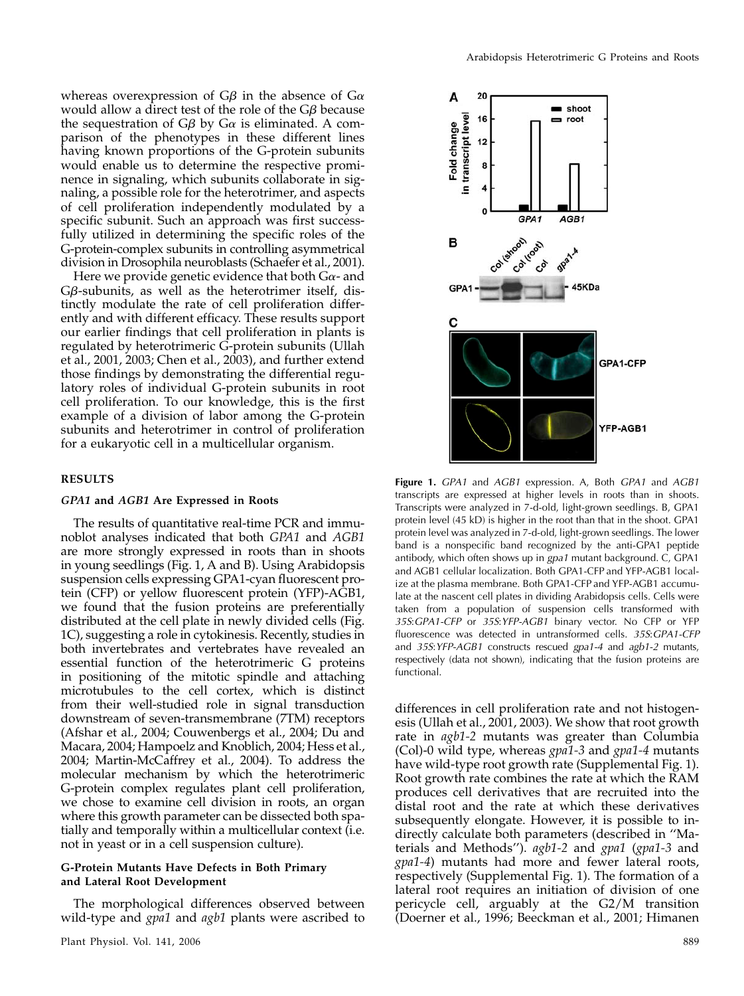whereas overexpression of  $G\beta$  in the absence of  $G\alpha$ would allow a direct test of the role of the  $G\beta$  because the sequestration of  $G\beta$  by  $G\alpha$  is eliminated. A comparison of the phenotypes in these different lines having known proportions of the G-protein subunits would enable us to determine the respective prominence in signaling, which subunits collaborate in signaling, a possible role for the heterotrimer, and aspects of cell proliferation independently modulated by a specific subunit. Such an approach was first successfully utilized in determining the specific roles of the G-protein-complex subunits in controlling asymmetrical division in Drosophila neuroblasts (Schaefer et al., 2001).

Here we provide genetic evidence that both  $Ga$ - and  $G\beta$ -subunits, as well as the heterotrimer itself, distinctly modulate the rate of cell proliferation differently and with different efficacy. These results support our earlier findings that cell proliferation in plants is regulated by heterotrimeric G-protein subunits (Ullah et al., 2001, 2003; Chen et al., 2003), and further extend those findings by demonstrating the differential regulatory roles of individual G-protein subunits in root cell proliferation. To our knowledge, this is the first example of a division of labor among the G-protein subunits and heterotrimer in control of proliferation for a eukaryotic cell in a multicellular organism.

## RESULTS

#### GPA1 and AGB1 Are Expressed in Roots

The results of quantitative real-time PCR and immunoblot analyses indicated that both GPA1 and AGB1 are more strongly expressed in roots than in shoots in young seedlings (Fig. 1, A and B). Using Arabidopsis suspension cells expressing GPA1-cyan fluorescent protein (CFP) or yellow fluorescent protein (YFP)-AGB1, we found that the fusion proteins are preferentially distributed at the cell plate in newly divided cells (Fig. 1C), suggesting a role in cytokinesis. Recently, studies in both invertebrates and vertebrates have revealed an essential function of the heterotrimeric G proteins in positioning of the mitotic spindle and attaching microtubules to the cell cortex, which is distinct from their well-studied role in signal transduction downstream of seven-transmembrane (7TM) receptors (Afshar et al., 2004; Couwenbergs et al., 2004; Du and Macara, 2004; Hampoelz and Knoblich, 2004; Hess et al., 2004; Martin-McCaffrey et al., 2004). To address the molecular mechanism by which the heterotrimeric G-protein complex regulates plant cell proliferation, we chose to examine cell division in roots, an organ where this growth parameter can be dissected both spatially and temporally within a multicellular context  $(i.e.$ not in yeast or in a cell suspension culture).

## G-Protein Mutants Have Defects in Both Primary and Lateral Root Development

The morphological differences observed between wild-type and *gpa1* and *agb1* plants were ascribed to



Figure 1. GPA1 and AGB1 expression. A, Both GPA1 and AGB1 transcripts are expressed at higher levels in roots than in shoots. Transcripts were analyzed in 7-d-old, light-grown seedlings. B, GPA1 protein level (45 kD) is higher in the root than that in the shoot. GPA1 protein level was analyzed in 7-d-old, light-grown seedlings. The lower band is a nonspecific band recognized by the anti-GPA1 peptide antibody, which often shows up in gpa1 mutant background. C, GPA1 and AGB1 cellular localization. Both GPA1-CFP and YFP-AGB1 localize at the plasma membrane. Both GPA1-CFP and YFP-AGB1 accumulate at the nascent cell plates in dividing Arabidopsis cells. Cells were taken from a population of suspension cells transformed with 35S:GPA1-CFP or 35S:YFP-AGB1 binary vector. No CFP or YFP fluorescence was detected in untransformed cells. 35S:GPA1-CFP and 35S:YFP-AGB1 constructs rescued gpa1-4 and agb1-2 mutants, respectively (data not shown), indicating that the fusion proteins are functional.

differences in cell proliferation rate and not histogenesis (Ullah et al., 2001, 2003). We show that root growth rate in agb1-2 mutants was greater than Columbia (Col)-0 wild type, whereas gpa1-3 and gpa1-4 mutants have wild-type root growth rate (Supplemental Fig. 1). Root growth rate combines the rate at which the RAM produces cell derivatives that are recruited into the distal root and the rate at which these derivatives subsequently elongate. However, it is possible to indirectly calculate both parameters (described in ''Materials and Methods"). agb1-2 and gpa1 (gpa1-3 and gpa1-4) mutants had more and fewer lateral roots, respectively (Supplemental Fig. 1). The formation of a lateral root requires an initiation of division of one pericycle cell, arguably at the G2/M transition (Doerner et al., 1996; Beeckman et al., 2001; Himanen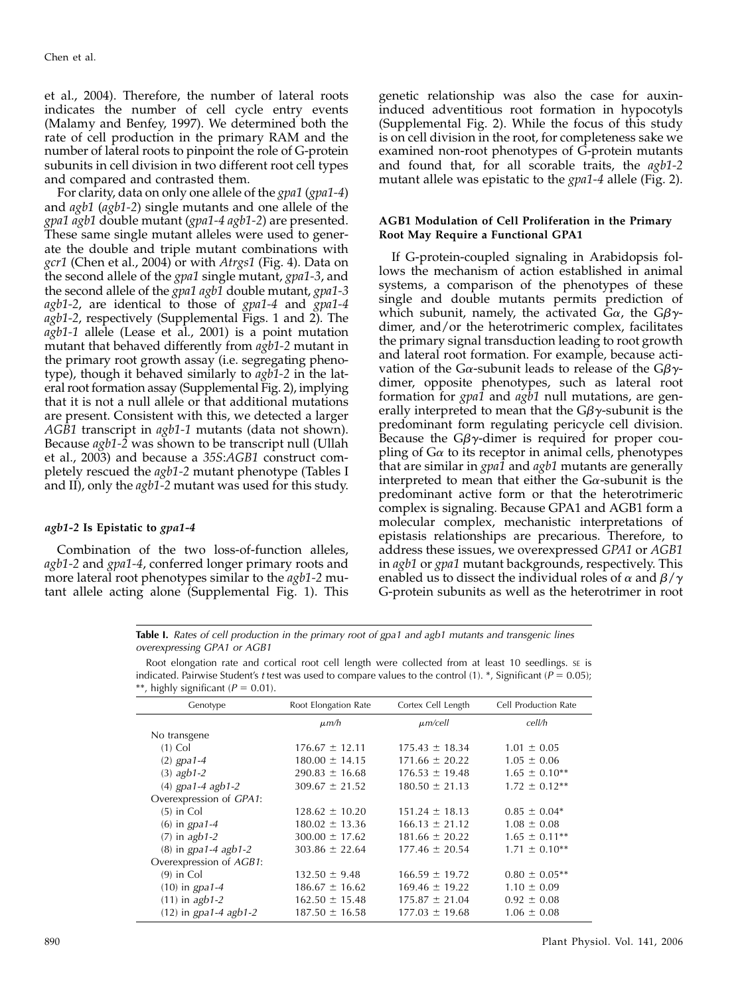et al., 2004). Therefore, the number of lateral roots indicates the number of cell cycle entry events (Malamy and Benfey, 1997). We determined both the rate of cell production in the primary RAM and the number of lateral roots to pinpoint the role of G-protein subunits in cell division in two different root cell types and compared and contrasted them.

For clarity, data on only one allele of the gpa1 (gpa1-4) and agb1 (agb1-2) single mutants and one allele of the gpa1 agb1 double mutant (gpa1-4 agb1-2) are presented. These same single mutant alleles were used to generate the double and triple mutant combinations with gcr1 (Chen et al., 2004) or with Atrgs1 (Fig. 4). Data on the second allele of the gpa1 single mutant, gpa1-3, and the second allele of the *gpa1 agb1* double mutant, *gpa1*-3 agb1-2, are identical to those of gpa1-4 and gpa1-4 agb1-2, respectively (Supplemental Figs. 1 and 2). The  $agb1-1$  allele (Lease et al., 2001) is a point mutation mutant that behaved differently from  $a\bar{g}b1-2$  mutant in the primary root growth assay (i.e. segregating phenotype), though it behaved similarly to agb1-2 in the lateral root formation assay (Supplemental Fig. 2), implying that it is not a null allele or that additional mutations are present. Consistent with this, we detected a larger AGB1 transcript in agb1-1 mutants (data not shown). Because agb1-2 was shown to be transcript null (Ullah et al., 2003) and because a 35S:AGB1 construct completely rescued the agb1-2 mutant phenotype (Tables I and II), only the *agb*1-2 mutant was used for this study.

## agb1-2 Is Epistatic to gpa1-4

Combination of the two loss-of-function alleles, agb1-2 and gpa1-4, conferred longer primary roots and more lateral root phenotypes similar to the agb1-2 mutant allele acting alone (Supplemental Fig. 1). This

genetic relationship was also the case for auxininduced adventitious root formation in hypocotyls (Supplemental Fig. 2). While the focus of this study is on cell division in the root, for completeness sake we examined non-root phenotypes of G-protein mutants and found that, for all scorable traits, the agb1-2 mutant allele was epistatic to the *gpa1-4* allele (Fig. 2).

## AGB1 Modulation of Cell Proliferation in the Primary Root May Require a Functional GPA1

If G-protein-coupled signaling in Arabidopsis follows the mechanism of action established in animal systems, a comparison of the phenotypes of these single and double mutants permits prediction of which subunit, namely, the activated  $\bar{G}\alpha$ , the  $G\beta\gamma$ dimer, and/or the heterotrimeric complex, facilitates the primary signal transduction leading to root growth and lateral root formation. For example, because activation of the G $\alpha$ -subunit leads to release of the G $\beta\gamma$ dimer, opposite phenotypes, such as lateral root formation for *gpa1* and *agb1* null mutations, are generally interpreted to mean that the  $G\beta\gamma$ -subunit is the predominant form regulating pericycle cell division. Because the  $G\beta\gamma$ -dimer is required for proper coupling of  $G\alpha$  to its receptor in animal cells, phenotypes that are similar in *gpa1* and *agb1* mutants are generally interpreted to mean that either the  $Ga$ -subunit is the predominant active form or that the heterotrimeric complex is signaling. Because GPA1 and AGB1 form a molecular complex, mechanistic interpretations of epistasis relationships are precarious. Therefore, to address these issues, we overexpressed GPA1 or AGB1 in agb1 or gpa1 mutant backgrounds, respectively. This enabled us to dissect the individual roles of  $\alpha$  and  $\beta/\gamma$ G-protein subunits as well as the heterotrimer in root

Table I. Rates of cell production in the primary root of gpa1 and agb1 mutants and transgenic lines overexpressing GPA1 or AGB1

Root elongation rate and cortical root cell length were collected from at least 10 seedlings. sE is indicated. Pairwise Student's t test was used to compare values to the control (1). \*, Significant ( $P = 0.05$ ); \*\*, highly significant ( $P = 0.01$ ).

| Genotype                | Root Elongation Rate | Cortex Cell Length | Cell Production Rate |
|-------------------------|----------------------|--------------------|----------------------|
|                         | $\mu$ m/h            | $\mu$ m/cell       | cell/h               |
| No transgene            |                      |                    |                      |
| $(1)$ Col               | $176.67 \pm 12.11$   | $175.43 \pm 18.34$ | $1.01 \pm 0.05$      |
| $(2)$ gpa1-4            | $180.00 \pm 14.15$   | $171.66 \pm 20.22$ | $1.05 \pm 0.06$      |
| $(3)$ agb1-2            | $290.83 \pm 16.68$   | $176.53 \pm 19.48$ | $1.65 \pm 0.10^{**}$ |
| $(4)$ gpa1-4 agb1-2     | $309.67 \pm 21.52$   | $180.50 \pm 21.13$ | $1.72 \pm 0.12**$    |
| Overexpression of GPA1: |                      |                    |                      |
| $(5)$ in Col            | $128.62 \pm 10.20$   | $151.24 \pm 18.13$ | $0.85 \pm 0.04*$     |
| $(6)$ in gpa1-4         | $180.02 \pm 13.36$   | $166.13 \pm 21.12$ | $1.08 \pm 0.08$      |
| $(7)$ in agb1-2         | $300.00 \pm 17.62$   | $181.66 \pm 20.22$ | $1.65 \pm 0.11**$    |
| $(8)$ in gpa1-4 agb1-2  | $303.86 \pm 22.64$   | $177.46 \pm 20.54$ | $1.71 \pm 0.10^{**}$ |
| Overexpression of AGB1: |                      |                    |                      |
| $(9)$ in Col            | $132.50 \pm 9.48$    | $166.59 \pm 19.72$ | $0.80 \pm 0.05$ **   |
| $(10)$ in gpa1-4        | $186.67 \pm 16.62$   | $169.46 \pm 19.22$ | $1.10 \pm 0.09$      |
| $(11)$ in agb1-2        | $162.50 \pm 15.48$   | $175.87 \pm 21.04$ | $0.92 \pm 0.08$      |
| $(12)$ in gpa1-4 agb1-2 | $187.50 \pm 16.58$   | $177.03 \pm 19.68$ | $1.06 \pm 0.08$      |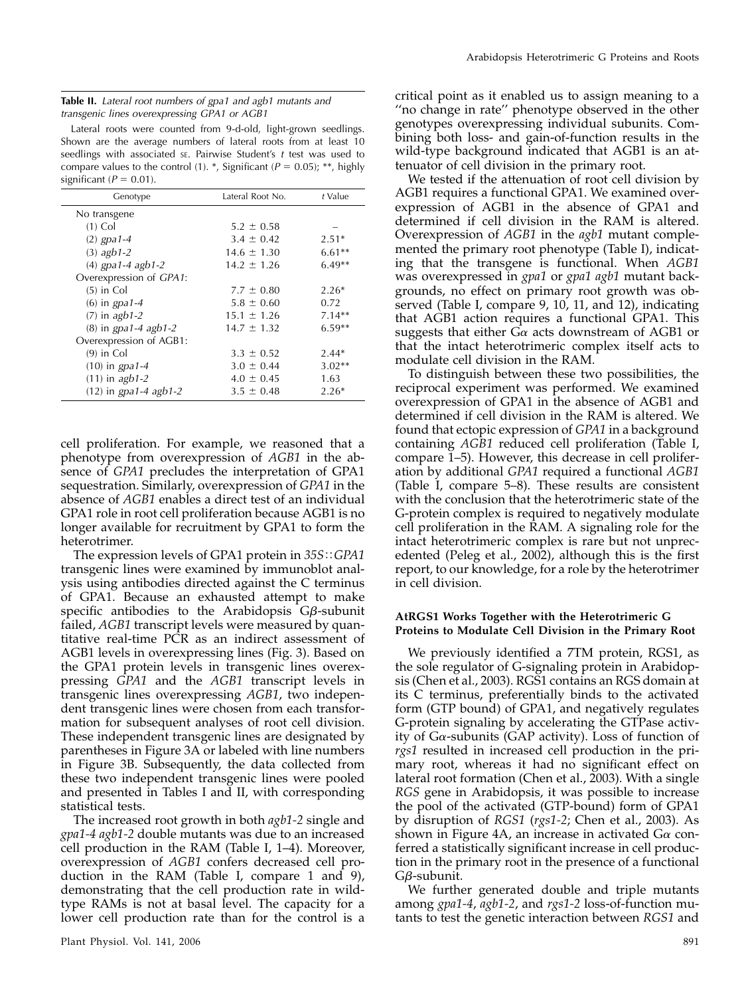| <b>Table II.</b> Lateral root numbers of gpa1 and agb1 mutants and |  |
|--------------------------------------------------------------------|--|
| transgenic lines overexpressing GPA1 or AGB1                       |  |

Lateral roots were counted from 9-d-old, light-grown seedlings. Shown are the average numbers of lateral roots from at least 10 seedlings with associated se. Pairwise Student's  $t$  test was used to compare values to the control (1). \*, Significant ( $P = 0.05$ ); \*\*, highly significant ( $P = 0.01$ ).

| Genotype                | Lateral Root No. | $t$ Value |
|-------------------------|------------------|-----------|
| No transgene            |                  |           |
| $(1)$ Col               | $5.2 \pm 0.58$   |           |
| $(2)$ gpa1-4            | $3.4 \pm 0.42$   | $2.51*$   |
| $(3)$ agb1-2            | $14.6 \pm 1.30$  | $6.61**$  |
| $(4)$ gpa1-4 agb1-2     | $14.2 \pm 1.26$  | $6.49**$  |
| Overexpression of GPA1: |                  |           |
| $(5)$ in Col            | $7.7 \pm 0.80$   | $2.26*$   |
| $(6)$ in gpa1-4         | $5.8 \pm 0.60$   | 0.72      |
| $(7)$ in agb1-2         | $15.1 \pm 1.26$  | $7.14**$  |
| $(8)$ in gpa1-4 agb1-2  | $14.7 \pm 1.32$  | $6.59**$  |
| Overexpression of AGB1: |                  |           |
| $(9)$ in Col            | $3.3 \pm 0.52$   | $2.44*$   |
| $(10)$ in gpa1-4        | $3.0 \pm 0.44$   | $3.02**$  |
| $(11)$ in agb1-2        | $4.0 \pm 0.45$   | 1.63      |
| $(12)$ in gpa1-4 agb1-2 | $3.5 \pm 0.48$   | $2.26*$   |

cell proliferation. For example, we reasoned that a phenotype from overexpression of AGB1 in the absence of GPA1 precludes the interpretation of GPA1 sequestration. Similarly, overexpression of GPA1 in the absence of AGB1 enables a direct test of an individual GPA1 role in root cell proliferation because AGB1 is no longer available for recruitment by GPA1 to form the heterotrimer.

The expression levels of GPA1 protein in  $35S::GPA1$ transgenic lines were examined by immunoblot analysis using antibodies directed against the C terminus of GPA1. Because an exhausted attempt to make specific antibodies to the Arabidopsis  $G\beta$ -subunit failed, AGB1 transcript levels were measured by quantitative real-time PCR as an indirect assessment of AGB1 levels in overexpressing lines (Fig. 3). Based on the GPA1 protein levels in transgenic lines overexpressing GPA1 and the AGB1 transcript levels in transgenic lines overexpressing AGB1, two independent transgenic lines were chosen from each transformation for subsequent analyses of root cell division. These independent transgenic lines are designated by parentheses in Figure 3A or labeled with line numbers in Figure 3B. Subsequently, the data collected from these two independent transgenic lines were pooled and presented in Tables I and II, with corresponding statistical tests.

The increased root growth in both agb1-2 single and gpa1-4 agb1-2 double mutants was due to an increased cell production in the RAM (Table I, 1–4). Moreover, overexpression of AGB1 confers decreased cell production in the RAM (Table I, compare 1 and 9), demonstrating that the cell production rate in wildtype RAMs is not at basal level. The capacity for a lower cell production rate than for the control is a

critical point as it enabled us to assign meaning to a ''no change in rate'' phenotype observed in the other genotypes overexpressing individual subunits. Combining both loss- and gain-of-function results in the wild-type background indicated that AGB1 is an attenuator of cell division in the primary root.

We tested if the attenuation of root cell division by AGB1 requires a functional GPA1. We examined overexpression of AGB1 in the absence of GPA1 and determined if cell division in the RAM is altered. Overexpression of AGB1 in the agb1 mutant complemented the primary root phenotype (Table I), indicating that the transgene is functional. When AGB1 was overexpressed in gpa1 or gpa1 agb1 mutant backgrounds, no effect on primary root growth was observed (Table I, compare 9, 10, 11, and 12), indicating that AGB1 action requires a functional GPA1. This suggests that either  $G\alpha$  acts downstream of AGB1 or that the intact heterotrimeric complex itself acts to modulate cell division in the RAM.

To distinguish between these two possibilities, the reciprocal experiment was performed. We examined overexpression of GPA1 in the absence of AGB1 and determined if cell division in the RAM is altered. We found that ectopic expression of GPA1 in a background containing AGB1 reduced cell proliferation (Table I, compare 1–5). However, this decrease in cell proliferation by additional GPA1 required a functional AGB1 (Table I, compare 5–8). These results are consistent with the conclusion that the heterotrimeric state of the G-protein complex is required to negatively modulate cell proliferation in the RAM. A signaling role for the intact heterotrimeric complex is rare but not unprecedented (Peleg et al., 2002), although this is the first report, to our knowledge, for a role by the heterotrimer in cell division.

## AtRGS1 Works Together with the Heterotrimeric G Proteins to Modulate Cell Division in the Primary Root

We previously identified a 7TM protein, RGS1, as the sole regulator of G-signaling protein in Arabidopsis (Chen et al., 2003). RGS1 contains an RGS domain at its C terminus, preferentially binds to the activated form (GTP bound) of GPA1, and negatively regulates G-protein signaling by accelerating the GTPase activity of  $Ga$ -subunits (GAP activity). Loss of function of rgs1 resulted in increased cell production in the primary root, whereas it had no significant effect on lateral root formation (Chen et al., 2003). With a single RGS gene in Arabidopsis, it was possible to increase the pool of the activated (GTP-bound) form of GPA1 by disruption of RGS1 (rgs1-2; Chen et al., 2003). As shown in Figure 4A, an increase in activated  $Ga$  conferred a statistically significant increase in cell production in the primary root in the presence of a functional Gb-subunit.

We further generated double and triple mutants among gpa1-4, agb1-2, and rgs1-2 loss-of-function mutants to test the genetic interaction between RGS1 and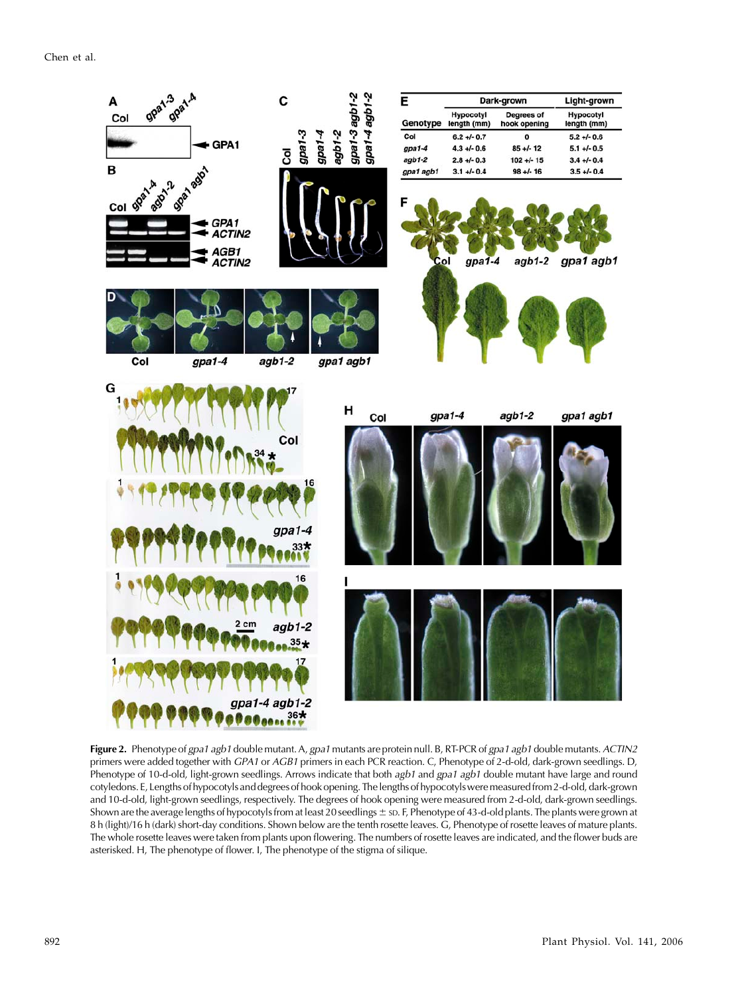Chen et al.



Figure 2. Phenotype of gpa1 agb1 double mutant. A, gpa1 mutants are protein null. B, RT-PCR of gpa1 agb1 double mutants. ACTIN2 primers were added together with GPA1 or AGB1 primers in each PCR reaction. C, Phenotype of 2-d-old, dark-grown seedlings. D, Phenotype of 10-d-old, light-grown seedlings. Arrows indicate that both agb1 and gpa1 agb1 double mutant have large and round cotyledons. E, Lengths of hypocotyls and degrees of hook opening. Thelengths of hypocotylsweremeasuredfrom 2-d-old, dark-grown and 10-d-old, light-grown seedlings, respectively. The degrees of hook opening were measured from 2-d-old, dark-grown seedlings. Shown are the average lengths of hypocotyls from at least 20 seedlings  $\pm$  sp. F, Phenotype of 43-d-old plants. The plants were grown at 8 h (light)/16 h (dark) short-day conditions. Shown below are the tenth rosette leaves. G, Phenotype of rosette leaves of mature plants. The whole rosette leaves were taken from plants upon flowering. The numbers of rosette leaves are indicated, and the flower buds are asterisked. H, The phenotype of flower. I, The phenotype of the stigma of silique.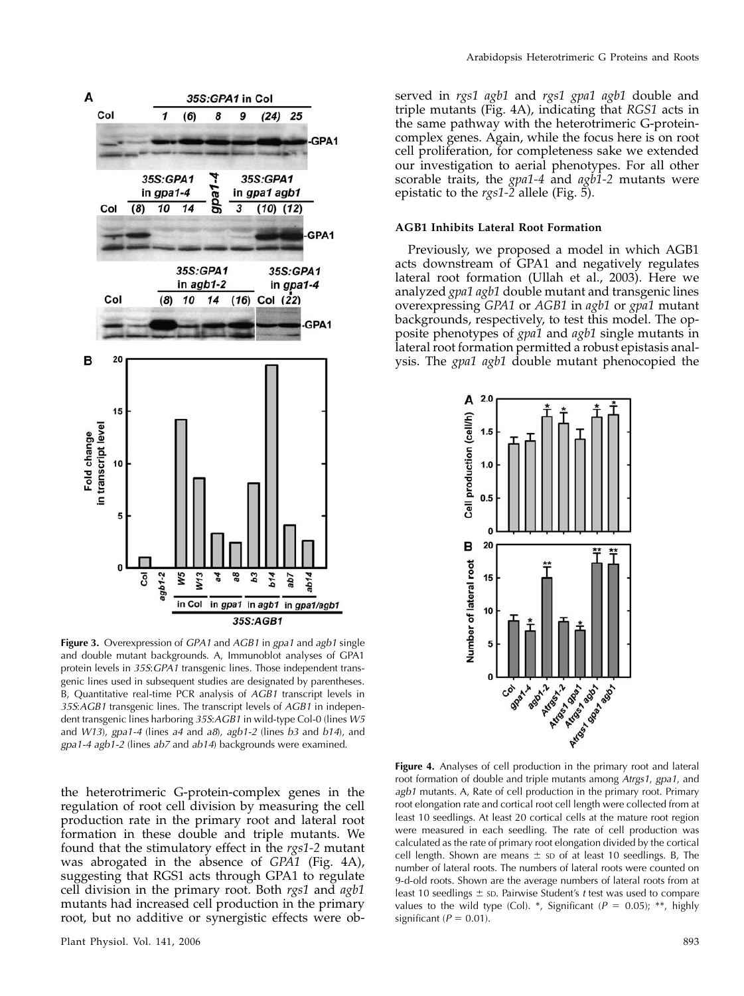

Figure 3. Overexpression of GPA1 and AGB1 in gpa1 and agb1 single and double mutant backgrounds. A, Immunoblot analyses of GPA1 protein levels in 35S: GPA1 transgenic lines. Those independent transgenic lines used in subsequent studies are designated by parentheses. B, Quantitative real-time PCR analysis of AGB1 transcript levels in 35S:AGB1 transgenic lines. The transcript levels of AGB1 in independent transgenic lines harboring 35S:AGB1 in wild-type Col-0 (lines W5 and  $W13$ ), gpa1-4 (lines a4 and a8), agb1-2 (lines b3 and b14), and gpa1-4 agb1-2 (lines ab7 and ab14) backgrounds were examined.

the heterotrimeric G-protein-complex genes in the regulation of root cell division by measuring the cell production rate in the primary root and lateral root formation in these double and triple mutants. We found that the stimulatory effect in the rgs1-2 mutant was abrogated in the absence of GPA1 (Fig. 4A), suggesting that RGS1 acts through GPA1 to regulate cell division in the primary root. Both rgs1 and agb1 mutants had increased cell production in the primary root, but no additive or synergistic effects were observed in rgs1 agb1 and rgs1 gpa1 agb1 double and triple mutants (Fig. 4A), indicating that RGS1 acts in the same pathway with the heterotrimeric G-proteincomplex genes. Again, while the focus here is on root cell proliferation, for completeness sake we extended our investigation to aerial phenotypes. For all other scorable traits, the  $gpa1-4$  and  $agb1-2$  mutants were epistatic to the rgs1-2 allele (Fig. 5).

## AGB1 Inhibits Lateral Root Formation

Previously, we proposed a model in which AGB1 acts downstream of GPA1 and negatively regulates lateral root formation (Ullah et al., 2003). Here we analyzed gpa1 agb1 double mutant and transgenic lines overexpressing GPA1 or AGB1 in agb1 or gpa1 mutant backgrounds, respectively, to test this model. The opposite phenotypes of *gpa1* and *agb1* single mutants in lateral root formation permitted a robust epistasis analysis. The gpa1 agb1 double mutant phenocopied the



Figure 4. Analyses of cell production in the primary root and lateral root formation of double and triple mutants among Atrgs1, gpa1, and agb1 mutants. A, Rate of cell production in the primary root. Primary root elongation rate and cortical root cell length were collected from at least 10 seedlings. At least 20 cortical cells at the mature root region were measured in each seedling. The rate of cell production was calculated as the rate of primary root elongation divided by the cortical cell length. Shown are means  $\pm$  sp of at least 10 seedlings. B, The number of lateral roots. The numbers of lateral roots were counted on 9-d-old roots. Shown are the average numbers of lateral roots from at least 10 seedlings  $\pm$  sp. Pairwise Student's t test was used to compare values to the wild type (Col). \*, Significant ( $P = 0.05$ ); \*\*, highly significant ( $P = 0.01$ ).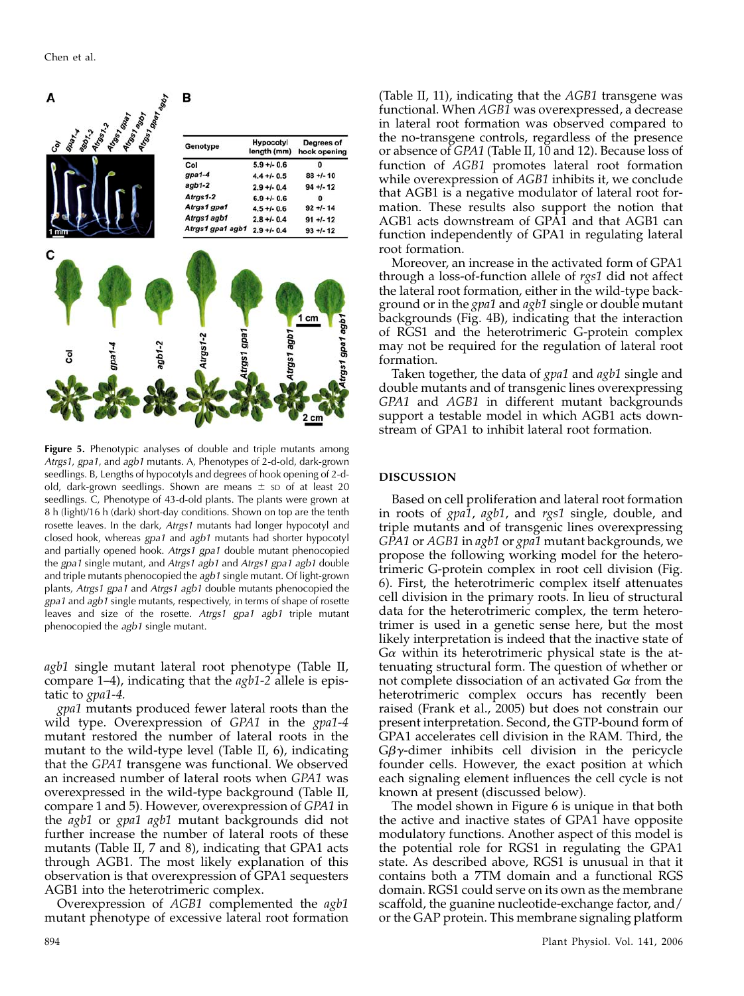

Figure 5. Phenotypic analyses of double and triple mutants among Atrgs1, gpa1, and agb1 mutants. A, Phenotypes of 2-d-old, dark-grown seedlings. B, Lengths of hypocotyls and degrees of hook opening of 2-dold, dark-grown seedlings. Shown are means  $\pm$  sp of at least 20 seedlings. C, Phenotype of 43-d-old plants. The plants were grown at 8 h (light)/16 h (dark) short-day conditions. Shown on top are the tenth rosette leaves. In the dark, Atrgs1 mutants had longer hypocotyl and closed hook, whereas gpa1 and agb1 mutants had shorter hypocotyl and partially opened hook. Atrgs1 gpa1 double mutant phenocopied the gpa1 single mutant, and Atrgs1 agb1 and Atrgs1 gpa1 agb1 double and triple mutants phenocopied the agb1 single mutant. Of light-grown plants, Atrgs1 gpa1 and Atrgs1 agb1 double mutants phenocopied the gpa1 and agb1 single mutants, respectively, in terms of shape of rosette leaves and size of the rosette. Atrgs1 gpa1 agb1 triple mutant phenocopied the agb1 single mutant.

agb1 single mutant lateral root phenotype (Table II, compare  $1-4$ ), indicating that the  $agb1-2$  allele is epistatic to gpa1-4.

gpa1 mutants produced fewer lateral roots than the wild type. Overexpression of GPA1 in the gpa1-4 mutant restored the number of lateral roots in the mutant to the wild-type level (Table II, 6), indicating that the GPA1 transgene was functional. We observed an increased number of lateral roots when GPA1 was overexpressed in the wild-type background (Table II, compare 1 and 5). However, overexpression of GPA1 in the agb1 or gpa1 agb1 mutant backgrounds did not further increase the number of lateral roots of these mutants (Table II, 7 and 8), indicating that GPA1 acts through AGB1. The most likely explanation of this observation is that overexpression of GPA1 sequesters AGB1 into the heterotrimeric complex.

Overexpression of AGB1 complemented the agb1 mutant phenotype of excessive lateral root formation

(Table II, 11), indicating that the AGB1 transgene was functional. When AGB1 was overexpressed, a decrease in lateral root formation was observed compared to the no-transgene controls, regardless of the presence or absence of GPA1 (Table II, 10 and 12). Because loss of function of AGB1 promotes lateral root formation while overexpression of AGB1 inhibits it, we conclude that AGB1 is a negative modulator of lateral root formation. These results also support the notion that AGB1 acts downstream of GPA1 and that AGB1 can function independently of GPA1 in regulating lateral root formation.

Moreover, an increase in the activated form of GPA1 through a loss-of-function allele of rgs1 did not affect the lateral root formation, either in the wild-type background or in the *gpa1* and *agb1* single or double mutant backgrounds (Fig. 4B), indicating that the interaction of RGS1 and the heterotrimeric G-protein complex may not be required for the regulation of lateral root formation.

Taken together, the data of *gpa1* and *agb1* single and double mutants and of transgenic lines overexpressing GPA1 and AGB1 in different mutant backgrounds support a testable model in which AGB1 acts downstream of GPA1 to inhibit lateral root formation.

## DISCUSSION

Based on cell proliferation and lateral root formation in roots of gpa1, agb1, and rgs1 single, double, and triple mutants and of transgenic lines overexpressing GPA1 or AGB1 in agb1 or gpa1 mutant backgrounds, we propose the following working model for the heterotrimeric G-protein complex in root cell division (Fig. 6). First, the heterotrimeric complex itself attenuates cell division in the primary roots. In lieu of structural data for the heterotrimeric complex, the term heterotrimer is used in a genetic sense here, but the most likely interpretation is indeed that the inactive state of  $G\alpha$  within its heterotrimeric physical state is the attenuating structural form. The question of whether or not complete dissociation of an activated  $G_{\alpha}$  from the heterotrimeric complex occurs has recently been raised (Frank et al., 2005) but does not constrain our present interpretation. Second, the GTP-bound form of GPA1 accelerates cell division in the RAM. Third, the  $G\beta\gamma$ -dimer inhibits cell division in the pericycle founder cells. However, the exact position at which each signaling element influences the cell cycle is not known at present (discussed below).

The model shown in Figure 6 is unique in that both the active and inactive states of GPA1 have opposite modulatory functions. Another aspect of this model is the potential role for RGS1 in regulating the GPA1 state. As described above, RGS1 is unusual in that it contains both a 7TM domain and a functional RGS domain. RGS1 could serve on its own as the membrane scaffold, the guanine nucleotide-exchange factor, and/ or the GAP protein. This membrane signaling platform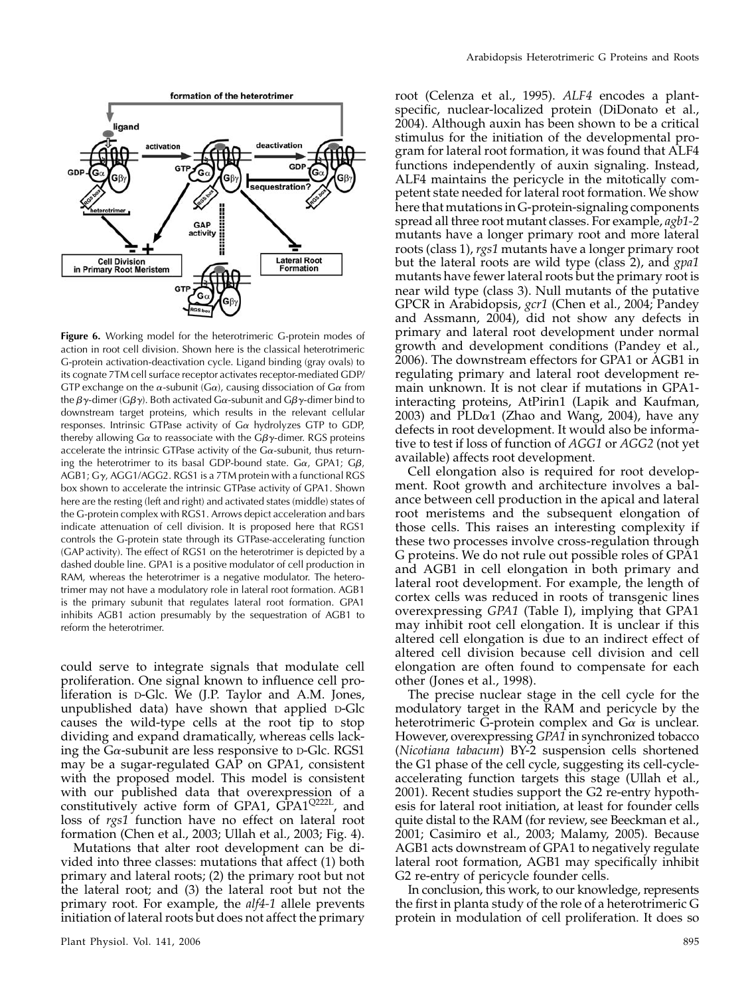

Figure 6. Working model for the heterotrimeric G-protein modes of action in root cell division. Shown here is the classical heterotrimeric G-protein activation-deactivation cycle. Ligand binding (gray ovals) to its cognate 7TM cell surface receptor activates receptor-mediated GDP/ GTP exchange on the  $\alpha$ -subunit (G $\alpha$ ), causing dissociation of G $\alpha$  from the  $\beta\gamma$ -dimer (G $\beta\gamma$ ). Both activated G $\alpha$ -subunit and G $\beta\gamma$ -dimer bind to downstream target proteins, which results in the relevant cellular responses. Intrinsic GTPase activity of  $Ga$  hydrolyzes GTP to GDP, thereby allowing G $\alpha$  to reassociate with the G $\beta\gamma$ -dimer. RGS proteins accelerate the intrinsic GTPase activity of the  $Ga$ -subunit, thus returning the heterotrimer to its basal GDP-bound state. G $\alpha$ , GPA1; G $\beta$ , AGB1;  $G\gamma$ , AGG1/AGG2. RGS1 is a 7TM protein with a functional RGS box shown to accelerate the intrinsic GTPase activity of GPA1. Shown here are the resting (left and right) and activated states (middle) states of the G-protein complex with RGS1. Arrows depict acceleration and bars indicate attenuation of cell division. It is proposed here that RGS1 controls the G-protein state through its GTPase-accelerating function (GAP activity). The effect of RGS1 on the heterotrimer is depicted by a dashed double line. GPA1 is a positive modulator of cell production in RAM, whereas the heterotrimer is a negative modulator. The heterotrimer may not have a modulatory role in lateral root formation. AGB1 is the primary subunit that regulates lateral root formation. GPA1 inhibits AGB1 action presumably by the sequestration of AGB1 to reform the heterotrimer.

could serve to integrate signals that modulate cell proliferation. One signal known to influence cell proliferation is D-Glc. We (J.P. Taylor and A.M. Jones, unpublished data) have shown that applied D-Glc causes the wild-type cells at the root tip to stop dividing and expand dramatically, whereas cells lacking the G $\alpha$ -subunit are less responsive to D-Glc. RGS1 may be a sugar-regulated GAP on GPA1, consistent with the proposed model. This model is consistent with our published data that overexpression of a constitutively active form of GPA1,  $GPA1^{Q222L}$ , and loss of rgs1 function have no effect on lateral root formation (Chen et al., 2003; Ullah et al., 2003; Fig. 4).

Mutations that alter root development can be divided into three classes: mutations that affect (1) both primary and lateral roots; (2) the primary root but not the lateral root; and (3) the lateral root but not the primary root. For example, the alf4-1 allele prevents initiation of lateral roots but does not affect the primary

root (Celenza et al., 1995). ALF4 encodes a plantspecific, nuclear-localized protein (DiDonato et al., 2004). Although auxin has been shown to be a critical stimulus for the initiation of the developmental program for lateral root formation, it was found that ALF4 functions independently of auxin signaling. Instead, ALF4 maintains the pericycle in the mitotically competent state needed for lateral root formation. We show here that mutations in G-protein-signaling components spread all three root mutant classes. For example, agb1-2 mutants have a longer primary root and more lateral roots (class 1), rgs1 mutants have a longer primary root but the lateral roots are wild type (class 2), and gpa1 mutants have fewer lateral roots but the primary root is near wild type (class 3). Null mutants of the putative GPCR in Arabidopsis, gcr1 (Chen et al., 2004; Pandey and Assmann, 2004), did not show any defects in primary and lateral root development under normal growth and development conditions (Pandey et al., 2006). The downstream effectors for GPA1 or AGB1 in regulating primary and lateral root development remain unknown. It is not clear if mutations in GPA1 interacting proteins, AtPirin1 (Lapik and Kaufman, 2003) and PLD $\alpha$ 1 (Zhao and Wang, 2004), have any defects in root development. It would also be informative to test if loss of function of AGG1 or AGG2 (not yet available) affects root development.

Cell elongation also is required for root development. Root growth and architecture involves a balance between cell production in the apical and lateral root meristems and the subsequent elongation of those cells. This raises an interesting complexity if these two processes involve cross-regulation through G proteins. We do not rule out possible roles of GPA1 and AGB1 in cell elongation in both primary and lateral root development. For example, the length of cortex cells was reduced in roots of transgenic lines overexpressing GPA1 (Table I), implying that GPA1 may inhibit root cell elongation. It is unclear if this altered cell elongation is due to an indirect effect of altered cell division because cell division and cell elongation are often found to compensate for each other (Jones et al., 1998).

The precise nuclear stage in the cell cycle for the modulatory target in the RAM and pericycle by the heterotrimeric G-protein complex and  $G_{\alpha}$  is unclear. However, overexpressing GPA1 in synchronized tobacco (Nicotiana tabacum) BY-2 suspension cells shortened the G1 phase of the cell cycle, suggesting its cell-cycleaccelerating function targets this stage (Ullah et al., 2001). Recent studies support the G2 re-entry hypothesis for lateral root initiation, at least for founder cells quite distal to the RAM (for review, see Beeckman et al., 2001; Casimiro et al., 2003; Malamy, 2005). Because AGB1 acts downstream of GPA1 to negatively regulate lateral root formation, AGB1 may specifically inhibit G2 re-entry of pericycle founder cells.

In conclusion, this work, to our knowledge, represents the first in planta study of the role of a heterotrimeric G protein in modulation of cell proliferation. It does so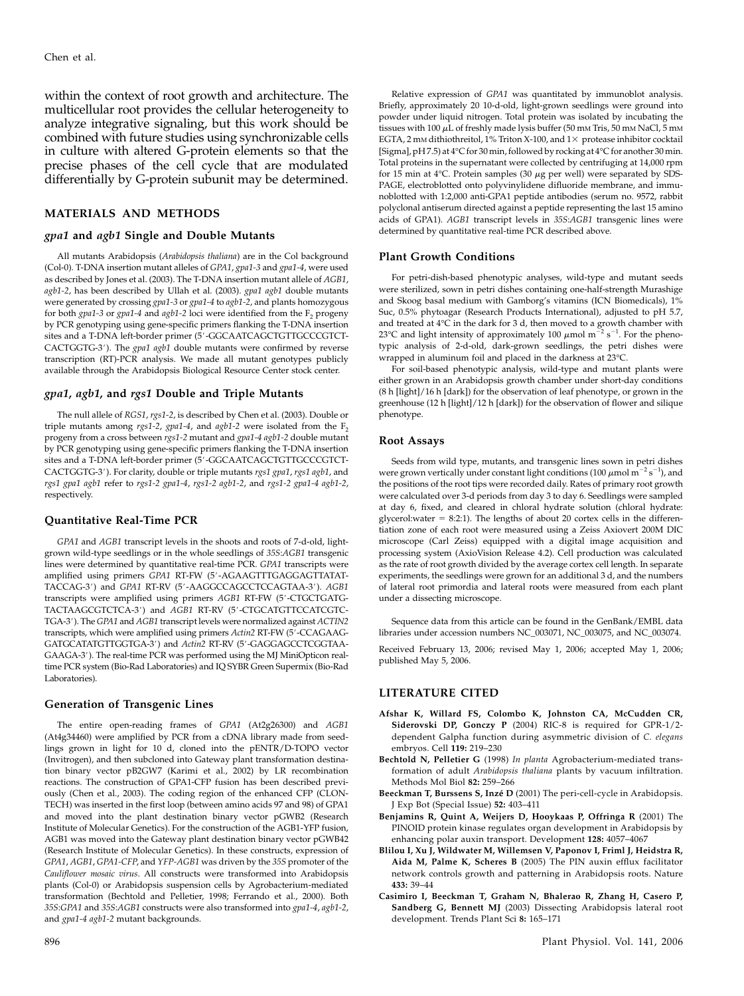within the context of root growth and architecture. The multicellular root provides the cellular heterogeneity to analyze integrative signaling, but this work should be combined with future studies using synchronizable cells in culture with altered G-protein elements so that the precise phases of the cell cycle that are modulated differentially by G-protein subunit may be determined.

## MATERIALS AND METHODS

#### gpa1 and agb1 Single and Double Mutants

All mutants Arabidopsis (Arabidopsis thaliana) are in the Col background (Col-0). T-DNA insertion mutant alleles of GPA1, gpa1-3 and gpa1-4, were used as described by Jones et al. (2003). The T-DNA insertion mutant allele of AGB1, agb1-2, has been described by Ullah et al. (2003). gpa1 agb1 double mutants were generated by crossing gpa1-3 or gpa1-4 to agb1-2, and plants homozygous for both gpa1-3 or gpa1-4 and agb1-2 loci were identified from the  $F_2$  progeny by PCR genotyping using gene-specific primers flanking the T-DNA insertion sites and a T-DNA left-border primer (5'-GGCAATCAGCTGTTGCCCGTCT-CACTGGTG-3'). The gpa1 agb1 double mutants were confirmed by reverse transcription (RT)-PCR analysis. We made all mutant genotypes publicly available through the Arabidopsis Biological Resource Center stock center.

#### gpa1, agb1, and rgs1 Double and Triple Mutants

The null allele of RGS1, rgs1-2, is described by Chen et al. (2003). Double or triple mutants among rgs1-2, gpa1-4, and agb1-2 were isolated from the  $F_2$ progeny from a cross between rgs1-2 mutant and gpa1-4 agb1-2 double mutant by PCR genotyping using gene-specific primers flanking the T-DNA insertion sites and a T-DNA left-border primer (5'-GGCAATCAGCTGTTGCCCGTCT-CACTGGTG-3'). For clarity, double or triple mutants rgs1 gpa1, rgs1 agb1, and rgs1 gpa1 agb1 refer to rgs1-2 gpa1-4, rgs1-2 agb1-2, and rgs1-2 gpa1-4 agb1-2, respectively.

#### Quantitative Real-Time PCR

GPA1 and AGB1 transcript levels in the shoots and roots of 7-d-old, lightgrown wild-type seedlings or in the whole seedlings of 35S:AGB1 transgenic lines were determined by quantitative real-time PCR. GPA1 transcripts were amplified using primers GPA1 RT-FW (5'-AGAAGTTTGAGGAGTTATAT-TACCAG-3') and GPA1 RT-RV (5'-AAGGCCAGCCTCCAGTAA-3'). AGB1 transcripts were amplified using primers AGB1 RT-FW (5'-CTGCTGATG-TACTAAGCGTCTCA-3') and AGB1 RT-RV (5'-CTGCATGTTCCATCGTC-TGA-3'). The GPA1 and AGB1 transcript levels were normalized against ACTIN2 transcripts, which were amplified using primers Actin2 RT-FW (5'-CCAGAAG-GATGCATATGTTGGTGA-3') and Actin2 RT-RV (5'-GAGGAGCCTCGGTAA-GAAGA-3'). The real-time PCR was performed using the MJ MiniOpticon realtime PCR system (Bio-Rad Laboratories) and IQ SYBR Green Supermix (Bio-Rad Laboratories).

#### Generation of Transgenic Lines

The entire open-reading frames of GPA1 (At2g26300) and AGB1 (At4g34460) were amplified by PCR from a cDNA library made from seedlings grown in light for 10 d, cloned into the pENTR/D-TOPO vector (Invitrogen), and then subcloned into Gateway plant transformation destination binary vector pB2GW7 (Karimi et al., 2002) by LR recombination reactions. The construction of GPA1-CFP fusion has been described previously (Chen et al., 2003). The coding region of the enhanced CFP (CLON-TECH) was inserted in the first loop (between amino acids 97 and 98) of GPA1 and moved into the plant destination binary vector pGWB2 (Research Institute of Molecular Genetics). For the construction of the AGB1-YFP fusion, AGB1 was moved into the Gateway plant destination binary vector pGWB42 (Research Institute of Molecular Genetics). In these constructs, expression of GPA1, AGB1, GPA1-CFP, and YFP-AGB1 was driven by the 35S promoter of the Cauliflower mosaic virus. All constructs were transformed into Arabidopsis plants (Col-0) or Arabidopsis suspension cells by Agrobacterium-mediated transformation (Bechtold and Pelletier, 1998; Ferrando et al., 2000). Both 35S:GPA1 and 35S:AGB1 constructs were also transformed into gpa1-4, agb1-2, and gpa1-4 agb1-2 mutant backgrounds.

Relative expression of GPA1 was quantitated by immunoblot analysis. Briefly, approximately 20 10-d-old, light-grown seedlings were ground into powder under liquid nitrogen. Total protein was isolated by incubating the tissues with 100  $\mu$ L of freshly made lysis buffer (50 mm Tris, 50 mm NaCl, 5 mm EGTA, 2 mM dithiothreitol, 1% Triton X-100, and  $1\times$  protease inhibitor cocktail [Sigma], pH7.5) at 4°C for 30 min, followed by rocking at 4°C for another 30 min. Total proteins in the supernatant were collected by centrifuging at 14,000 rpm for 15 min at  $4^{\circ}$ C. Protein samples (30  $\mu$ g per well) were separated by SDS-PAGE, electroblotted onto polyvinylidene difluoride membrane, and immunoblotted with 1:2,000 anti-GPA1 peptide antibodies (serum no. 9572, rabbit polyclonal antiserum directed against a peptide representing the last 15 amino acids of GPA1). AGB1 transcript levels in 35S:AGB1 transgenic lines were determined by quantitative real-time PCR described above.

#### Plant Growth Conditions

For petri-dish-based phenotypic analyses, wild-type and mutant seeds were sterilized, sown in petri dishes containing one-half-strength Murashige and Skoog basal medium with Gamborg's vitamins (ICN Biomedicals), 1% Suc, 0.5% phytoagar (Research Products International), adjusted to pH 5.7, and treated at  $4^{\circ}\mathrm{C}$  in the dark for 3 d, then moved to a growth chamber with 23<sup>o</sup>C and light intensity of approximately 100  $\mu$ mol m<sup>-2</sup> s<sup>-1</sup>. For the phenotypic analysis of 2-d-old, dark-grown seedlings, the petri dishes were wrapped in aluminum foil and placed in the darkness at 23°C.

For soil-based phenotypic analysis, wild-type and mutant plants were either grown in an Arabidopsis growth chamber under short-day conditions (8 h [light]/16 h [dark]) for the observation of leaf phenotype, or grown in the greenhouse (12 h [light]/12 h [dark]) for the observation of flower and silique phenotype.

#### Root Assays

Seeds from wild type, mutants, and transgenic lines sown in petri dishes were grown vertically under constant light conditions (100  $\mu$ mol m<sup>-2</sup> s<sup>-1</sup>), and the positions of the root tips were recorded daily. Rates of primary root growth were calculated over 3-d periods from day 3 to day 6. Seedlings were sampled at day 6, fixed, and cleared in chloral hydrate solution (chloral hydrate: glycerol: water  $= 8:2:1$ ). The lengths of about 20 cortex cells in the differentiation zone of each root were measured using a Zeiss Axiovert 200M DIC microscope (Carl Zeiss) equipped with a digital image acquisition and processing system (AxioVision Release 4.2). Cell production was calculated as the rate of root growth divided by the average cortex cell length. In separate experiments, the seedlings were grown for an additional 3 d, and the numbers of lateral root primordia and lateral roots were measured from each plant under a dissecting microscope.

Sequence data from this article can be found in the GenBank/EMBL data libraries under accession numbers NC\_003071, NC\_003075, and NC\_003074.

Received February 13, 2006; revised May 1, 2006; accepted May 1, 2006; published May 5, 2006.

#### LITERATURE CITED

- Afshar K, Willard FS, Colombo K, Johnston CA, McCudden CR, Siderovski DP, Gonczy P (2004) RIC-8 is required for GPR-1/2 dependent Galpha function during asymmetric division of C. elegans embryos. Cell 119: 219–230
- Bechtold N, Pelletier G (1998) In planta Agrobacterium-mediated transformation of adult Arabidopsis thaliana plants by vacuum infiltration. Methods Mol Biol 82: 259–266
- Beeckman T, Burssens S, Inzé D (2001) The peri-cell-cycle in Arabidopsis. J Exp Bot (Special Issue) 52: 403–411
- Benjamins R, Quint A, Weijers D, Hooykaas P, Offringa R (2001) The PINOID protein kinase regulates organ development in Arabidopsis by enhancing polar auxin transport. Development 128: 4057–4067
- Blilou I, Xu J, Wildwater M, Willemsen V, Paponov I, Friml J, Heidstra R, Aida M, Palme K, Scheres B (2005) The PIN auxin efflux facilitator network controls growth and patterning in Arabidopsis roots. Nature 433: 39–44
- Casimiro I, Beeckman T, Graham N, Bhalerao R, Zhang H, Casero P, Sandberg G, Bennett MJ (2003) Dissecting Arabidopsis lateral root development. Trends Plant Sci 8: 165–171